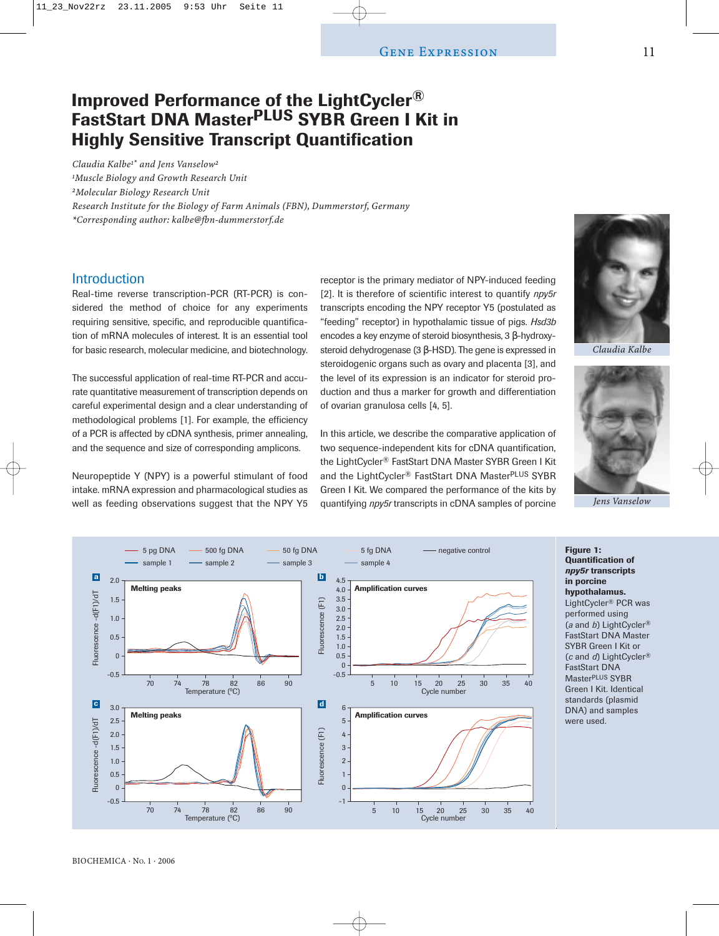# **Improved Performance of the LightCycler® FastStart DNA MasterPLUS SYBR Green I Kit in Highly Sensitive Transcript Quantification**

*Claudia Kalbe1\* and Jens Vanselow2 1Muscle Biology and Growth Research Unit 2Molecular Biology Research Unit Research Institute for the Biology of Farm Animals (FBN), Dummerstorf, Germany \*Corresponding author: kalbe@fbn-dummerstorf.de*

# **Introduction**

Real-time reverse transcription-PCR (RT-PCR) is considered the method of choice for any experiments requiring sensitive, specific, and reproducible quantification of mRNA molecules of interest. It is an essential tool for basic research, molecular medicine, and biotechnology.

The successful application of real-time RT-PCR and accurate quantitative measurement of transcription depends on careful experimental design and a clear understanding of methodological problems [1]. For example, the efficiency of a PCR is affected by cDNA synthesis, primer annealing, and the sequence and size of corresponding amplicons.

Neuropeptide Y (NPY) is a powerful stimulant of food intake. mRNA expression and pharmacological studies as well as feeding observations suggest that the NPY Y5 receptor is the primary mediator of NPY-induced feeding [2]. It is therefore of scientific interest to quantify *npy5r* transcripts encoding the NPY receptor Y5 (postulated as "feeding" receptor) in hypothalamic tissue of pigs. *Hsd3b* encodes a key enzyme of steroid biosynthesis, 3 β-hydroxysteroid dehydrogenase (3 β-HSD). The gene is expressed in steroidogenic organs such as ovary and placenta [3], and the level of its expression is an indicator for steroid production and thus a marker for growth and differentiation of ovarian granulosa cells [4, 5].

In this article, we describe the comparative application of two sequence-independent kits for cDNA quantification, the LightCycler® FastStart DNA Master SYBR Green I Kit and the LightCycler® FastStart DNA MasterPLUS SYBR Green I Kit. We compared the performance of the kits by quantifying *npy5r* transcripts in cDNA samples of porcine



*Claudia Kalbe*





**Figure 1: Quantification of** *npy5r* **transcripts in porcine hypothalamus.** LightCycler® PCR was performed using (*a* and *b*) LightCycler® FastStart DNA Master SYBR Green I Kit or (*c* and *d*) LightCycler® FastStart DNA MasterPLUS SYBR Green I Kit. Identical standards (plasmid DNA) and samples were used.

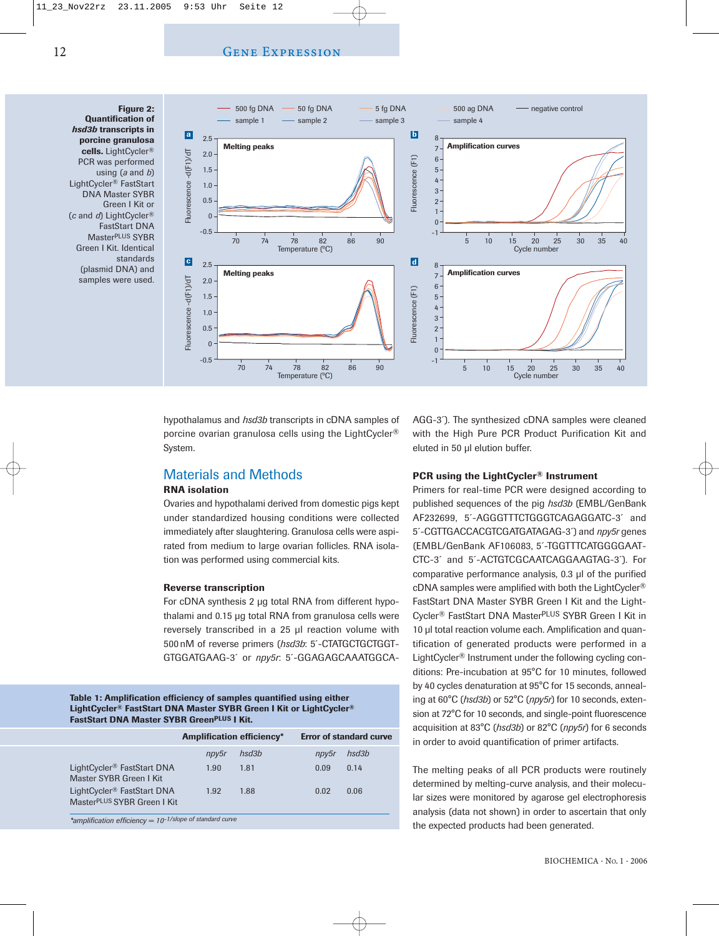### Gene Expression

**Figure 2: Quantification of** *hsd3b* **transcripts in porcine granulosa cells.** LightCycler® PCR was performed using (*a* and *b*) LightCycler® FastStart DNA Master SYBR Green I Kit or (*c* and *d*) LightCycler® FastStart DNA MasterPLUS SYBR Green I Kit. Identical standards (plasmid DNA) and samples were used.



hypothalamus and *hsd3b* transcripts in cDNA samples of porcine ovarian granulosa cells using the LightCycler® System.

# Materials and Methods

## **RNA isolation**

Ovaries and hypothalami derived from domestic pigs kept under standardized housing conditions were collected immediately after slaughtering. Granulosa cells were aspirated from medium to large ovarian follicles. RNA isolation was performed using commercial kits.

#### **Reverse transcription**

For cDNA synthesis 2 µg total RNA from different hypothalami and 0.15 µg total RNA from granulosa cells were reversely transcribed in a 25 ul reaction volume with 500 nM of reverse primers (*hsd3b*: 5´-CTATGCTGCTGGT-GTGGATGAAG-3´ or *npy5r*: 5´-GGAGAGCAAATGGCA-

#### **Table 1: Amplification efficiency of samples quantified using either LightCycler® FastStart DNA Master SYBR Green I Kit or LightCycler® FastStart DNA Master SYBR GreenPLUS I Kit.**

|                                                                                   | <b>Amplification efficiency*</b> |       | <b>Error of standard curve</b> |       |  |
|-----------------------------------------------------------------------------------|----------------------------------|-------|--------------------------------|-------|--|
|                                                                                   | npy5r                            | hsd3b | npy5r                          | hsd3b |  |
| LightCycler <sup>®</sup> FastStart DNA<br>Master SYBR Green I Kit                 | 1.90                             | 1.81  | 0.09                           | 0.14  |  |
| LightCycler <sup>®</sup> FastStart DNA<br>Master <sup>PLUS</sup> SYBR Green I Kit | 1.92                             | 1.88  | 0.02                           | 0.06  |  |
| *amplification efficiency = 10-1/slope of standard curve                          |                                  |       |                                |       |  |

AGG-3´). The synthesized cDNA samples were cleaned with the High Pure PCR Product Purification Kit and eluted in 50 µl elution buffer.

## **PCR using the LightCycler® Instrument**

Primers for real-time PCR were designed according to published sequences of the pig *hsd3b* (EMBL/GenBank AF232699, 5´-AGGGTTTCTGGGTCAGAGGATC-3´ and 5´-CGTTGACCACGTCGATGATAGAG-3´) and *npy5r* genes (EMBL/GenBank AF106083, 5´-TGGTTTCATGGGGAAT-CTC-3´ and 5´-ACTGTCGCAATCAGGAAGTAG-3´). For comparative performance analysis, 0.3 µl of the purified cDNA samples were amplified with both the LightCycler® FastStart DNA Master SYBR Green I Kit and the Light-Cycler® FastStart DNA MasterPLUS SYBR Green I Kit in 10 ul total reaction volume each. Amplification and quantification of generated products were performed in a LightCycler® Instrument under the following cycling conditions: Pre-incubation at 95°C for 10 minutes, followed by 40 cycles denaturation at 95°C for 15 seconds, annealing at 60°C (*hsd3b*) or 52°C (*npy5r*) for 10 seconds, extension at 72°C for 10 seconds, and single-point fluorescence acquisition at 83°C (*hsd3b*) or 82°C (*npy5r*) for 6 seconds in order to avoid quantification of primer artifacts.

The melting peaks of all PCR products were routinely determined by melting-curve analysis, and their molecular sizes were monitored by agarose gel electrophoresis analysis (data not shown) in order to ascertain that only the expected products had been generated.